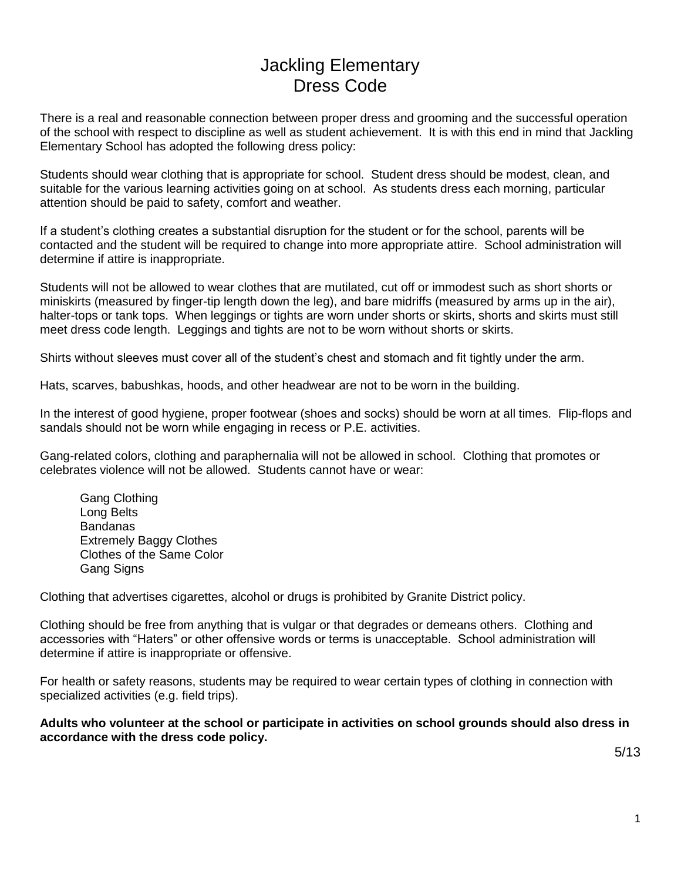## Jackling Elementary Dress Code

There is a real and reasonable connection between proper dress and grooming and the successful operation of the school with respect to discipline as well as student achievement. It is with this end in mind that Jackling Elementary School has adopted the following dress policy:

Students should wear clothing that is appropriate for school. Student dress should be modest, clean, and suitable for the various learning activities going on at school. As students dress each morning, particular attention should be paid to safety, comfort and weather.

If a student's clothing creates a substantial disruption for the student or for the school, parents will be contacted and the student will be required to change into more appropriate attire. School administration will determine if attire is inappropriate.

Students will not be allowed to wear clothes that are mutilated, cut off or immodest such as short shorts or miniskirts (measured by finger-tip length down the leg), and bare midriffs (measured by arms up in the air), halter-tops or tank tops. When leggings or tights are worn under shorts or skirts, shorts and skirts must still meet dress code length. Leggings and tights are not to be worn without shorts or skirts.

Shirts without sleeves must cover all of the student's chest and stomach and fit tightly under the arm.

Hats, scarves, babushkas, hoods, and other headwear are not to be worn in the building.

In the interest of good hygiene, proper footwear (shoes and socks) should be worn at all times. Flip-flops and sandals should not be worn while engaging in recess or P.E. activities.

Gang-related colors, clothing and paraphernalia will not be allowed in school. Clothing that promotes or celebrates violence will not be allowed. Students cannot have or wear:

Gang Clothing Long Belts **Bandanas** Extremely Baggy Clothes Clothes of the Same Color Gang Signs

Clothing that advertises cigarettes, alcohol or drugs is prohibited by Granite District policy.

Clothing should be free from anything that is vulgar or that degrades or demeans others. Clothing and accessories with "Haters" or other offensive words or terms is unacceptable. School administration will determine if attire is inappropriate or offensive.

For health or safety reasons, students may be required to wear certain types of clothing in connection with specialized activities (e.g. field trips).

**Adults who volunteer at the school or participate in activities on school grounds should also dress in accordance with the dress code policy.**

5/13